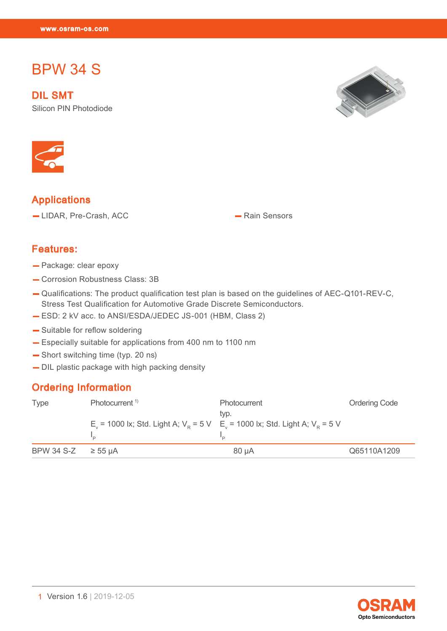# BPW 34 S

 $\mathbb{R}^n$  34  $\mathbb{R}^n$  34  $\mathbb{R}^n$  34  $\mathbb{R}^n$ 

DIL SMT Silicon PIN Photodiode





## Applications

— LIDAR, Pre-Crash, ACC — Rain Sensors

#### Features:

- Package: clear epoxy
- Corrosion Robustness Class: 3B
- Qualifications: The product qualification test plan is based on the guidelines of AEC-Q101-REV-C, Stress Test Qualification for Automotive Grade Discrete Semiconductors.
- ESD: 2 kV acc. to ANSI/ESDA/JEDEC JS-001 (HBM, Class 2)
- Suitable for reflow soldering
- Especially suitable for applications from 400 nm to 1100 nm
- Short switching time (typ. 20 ns)
- DIL plastic package with high packing density

#### Ordering Information

| Type                   | Photocurrent <sup>1)</sup>                                                                                       | <b>Photocurrent</b><br>typ. | <b>Ordering Code</b> |  |
|------------------------|------------------------------------------------------------------------------------------------------------------|-----------------------------|----------------------|--|
|                        | E <sub>v</sub> = 1000 lx; Std. Light A; $V_p = 5 V$ E <sub>v</sub> = 1000 lx; Std. Light A; V <sub>p</sub> = 5 V |                             |                      |  |
| BPW 34 S-Z $\ge$ 55 µA |                                                                                                                  | $80 \mu A$                  | Q65110A1209          |  |

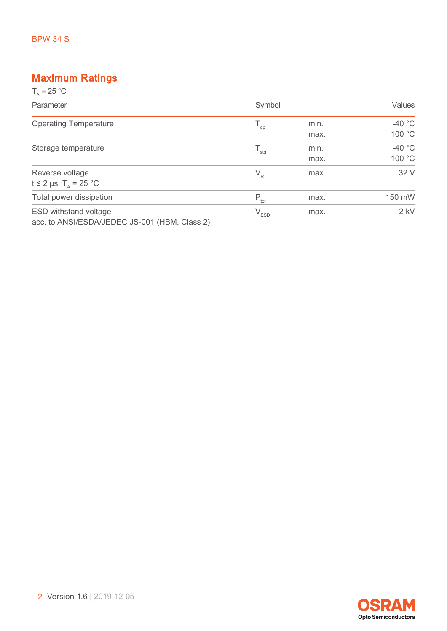# Maximum Ratings

| $T_a = 25 °C$                                                                 |                  |              |                    |
|-------------------------------------------------------------------------------|------------------|--------------|--------------------|
| Parameter                                                                     | Symbol           |              | Values             |
| <b>Operating Temperature</b>                                                  | $T_{op}$         | min.<br>max. | $-40 °C$<br>100 °C |
| Storage temperature                                                           | $T_{\text{stg}}$ | min.<br>max. | $-40$ °C<br>100 °C |
| Reverse voltage<br>t $\leq$ 2 µs; T <sub><math>\Delta</math></sub> = 25 °C    | $V_R$            | max.         | 32 V               |
| Total power dissipation                                                       | $P_{\text{tot}}$ | max.         | 150 mW             |
| <b>ESD withstand voltage</b><br>acc. to ANSI/ESDA/JEDEC JS-001 (HBM, Class 2) | $V_{ESD}$        | max.         | $2$ kV             |

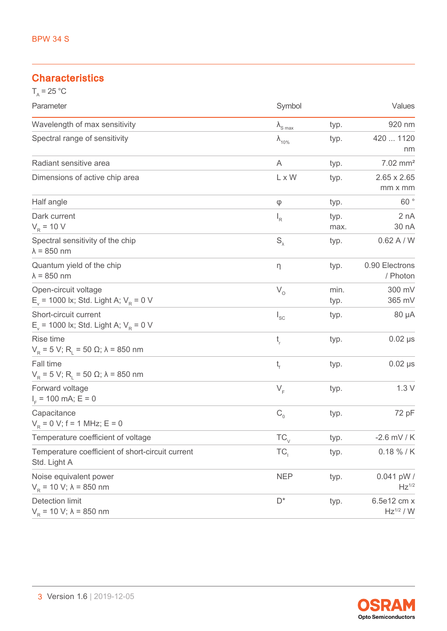## **Characteristics**

| $T_{\text{A}}$ = 25 °C                                              |                          |              |                                     |
|---------------------------------------------------------------------|--------------------------|--------------|-------------------------------------|
| Parameter                                                           | Symbol                   |              | Values                              |
| Wavelength of max sensitivity                                       | $\lambda_{\text{S max}}$ | typ.         | 920 nm                              |
| Spectral range of sensitivity                                       | $\lambda_{10\%}$         | typ.         | 420  1120<br>nm                     |
| Radiant sensitive area                                              | A                        | typ.         | $7.02$ mm <sup>2</sup>              |
| Dimensions of active chip area                                      | L x W                    | typ.         | $2.65 \times 2.65$<br>mm x mm       |
| Half angle                                                          | φ                        | typ.         | 60°                                 |
| Dark current<br>$V_R$ = 10 V                                        | $I_R$                    | typ.<br>max. | 2 nA<br>30 nA                       |
| Spectral sensitivity of the chip<br>$\lambda$ = 850 nm              | $S_{\lambda}$            | typ.         | 0.62 A/W                            |
| Quantum yield of the chip<br>$\lambda$ = 850 nm                     | η                        | typ.         | 0.90 Electrons<br>/ Photon          |
| Open-circuit voltage<br>$E_v$ = 1000 lx; Std. Light A; $V_R$ = 0 V  | $V_{O}$                  | min.<br>typ. | 300 mV<br>365 mV                    |
| Short-circuit current<br>$E_v$ = 1000 lx; Std. Light A; $V_R$ = 0 V | $I_{SC}$                 | typ.         | 80 µA                               |
| Rise time<br>$V_R$ = 5 V; R <sub>L</sub> = 50 Ω; λ = 850 nm         | $t_{\rm r}$              | typ.         | $0.02$ $\mu s$                      |
| Fall time<br>$V_R$ = 5 V; R <sub>L</sub> = 50 Ω; λ = 850 nm         | t,                       | typ.         | $0.02$ $\mu s$                      |
| Forward voltage<br>$IF$ = 100 mA; E = 0                             | $V_F$                    | typ.         | 1.3V                                |
| Capacitance<br>$V_p = 0$ V; f = 1 MHz; E = 0                        | $C_{0}$                  | typ.         | 72 pF                               |
| Temperature coefficient of voltage                                  | $TC_{\vee}$              | typ.         | $-2.6$ mV / K                       |
| Temperature coefficient of short-circuit current<br>Std. Light A    | TC <sub>1</sub>          | typ.         | $0.18 \% / K$                       |
| Noise equivalent power<br>$V_p = 10 V$ ; $\lambda = 850$ nm         | <b>NEP</b>               | typ.         | $0.041$ pW /<br>$Hz$ <sup>1/2</sup> |
| <b>Detection limit</b><br>$V_R$ = 10 V; $\lambda$ = 850 nm          | $D^*$                    | typ.         | 6.5e12 cm x<br>$Hz^{1/2} / W$       |

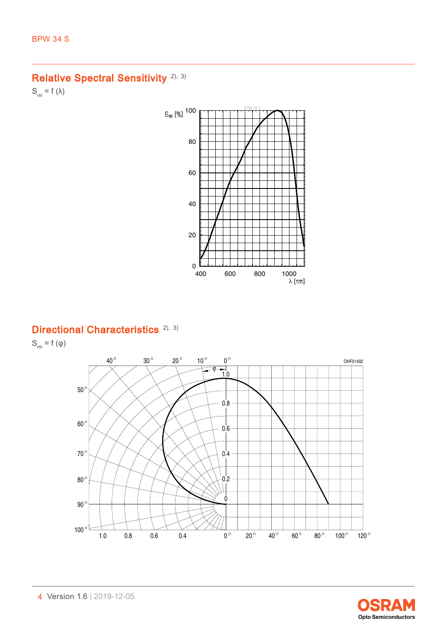# Relative Spectral Sensitivity<sup>[2\),](#page-15-0) [3\)](#page-15-0)</sup>

 $S_{rel} = f (\lambda)$ 



## Directional Characteristics<sup>[2\),](#page-15-0) [3\)](#page-15-0)</sup>

 $S_{rel} = f(\varphi)$ 



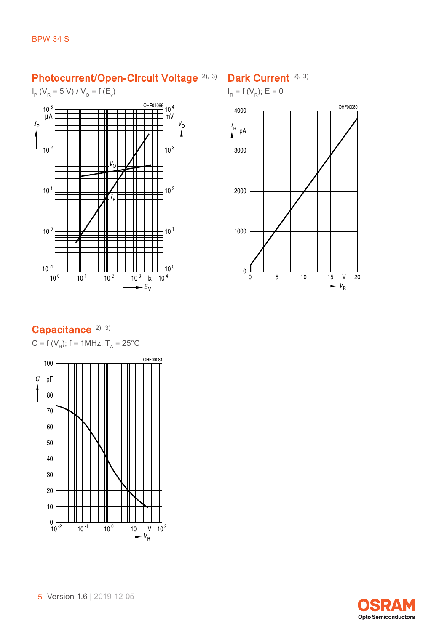### Photocurrent/Open-Circuit Voltage [2\),](#page-15-0) [3\)](#page-15-0)

### $I_{\rm p}$  (V<sub>R</sub> = 5 V) / V<sub>O</sub> = f (E<sub>v</sub>)



## Dark Current<sup>[2\),](#page-15-0) [3\)](#page-15-0)</sup>





## Capacitance<sup>[2\),](#page-15-0) [3\)](#page-15-0)</sup>

 $C = f(V_R); f = 1MHz; T_A = 25°C$ 



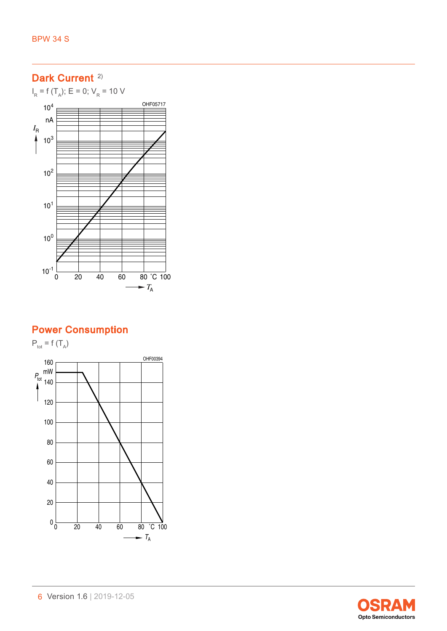$I_R$  = f (T<sub>A</sub>); E = 0; V<sub>R</sub> = 10 V



## Power Consumption

 $P_{\text{tot}} = f(T_A)$ OHF00394 160 $P_{\text{tot}}$ <sup>mW</sup> 140 120 100 80 60 40 20  $0\frac{L}{0}$ <sup>0</sup> <sup>20</sup> <sup>40</sup> <sup>60</sup> <sup>80</sup> ˚C <sup>100</sup>  $\overline{\phantom{a}}$ *T* A

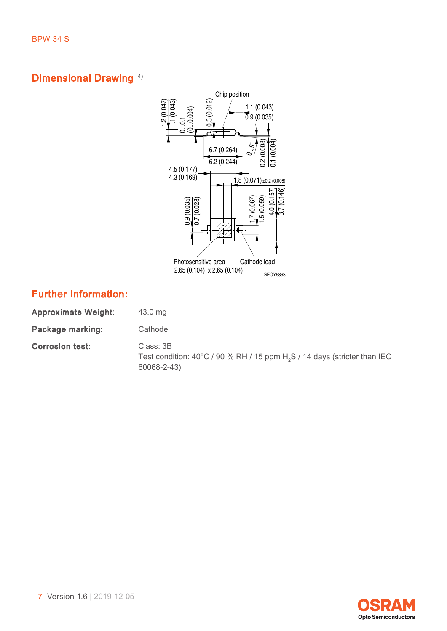

## Further Information:

| <b>Approximate Weight:</b> | 43.0 mg                                                                                                                     |
|----------------------------|-----------------------------------------------------------------------------------------------------------------------------|
| Package marking:           | Cathode                                                                                                                     |
| <b>Corrosion test:</b>     | Class: 3B<br>Test condition: $40^{\circ}$ C / 90 % RH / 15 ppm H <sub>2</sub> S / 14 days (stricter than IEC<br>60068-2-43) |

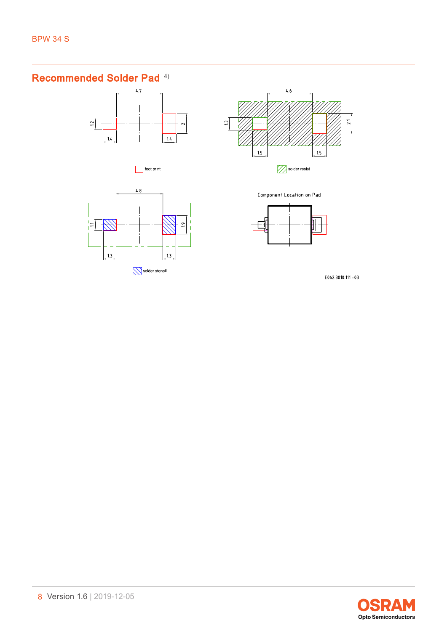## Recommended Solder Pad [4\)](#page-15-0)







M solder resist





Component Location on Pad



E062.3010.111 -03

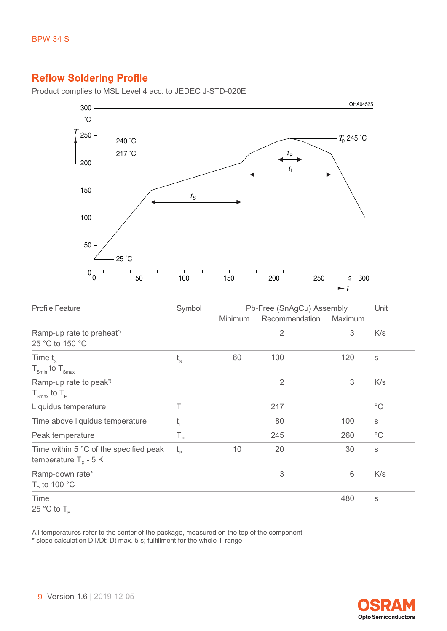## Reflow Soldering Profile

Product complies to MSL Level 4 acc. to JEDEC J-STD-020E



| <b>Profile Feature</b>                                                   | Symbol         | Pb-Free (SnAgCu) Assembly |                |                           | Unit         |
|--------------------------------------------------------------------------|----------------|---------------------------|----------------|---------------------------|--------------|
|                                                                          |                | <b>Minimum</b>            | Recommendation | Maximum                   |              |
| Ramp-up rate to preheat <sup>*</sup><br>25 °C to 150 °C                  |                |                           | $\overline{2}$ | 3                         | K/s          |
| Time $t_{\rm s}$<br>$T_{\text{Smin}}$ to $T_{\text{Smax}}$               | $t_{\rm s}$    | 60                        | 100            | 120                       | $\mathbb S$  |
| Ramp-up rate to peak <sup>*</sup><br>$T_{\text{Smax}}$ to $T_{\text{p}}$ |                |                           | $\overline{2}$ | $\ensuremath{\mathsf{3}}$ | K/s          |
| Liquidus temperature                                                     | $T_{\rm r}$    |                           | 217            |                           | $^{\circ}$ C |
| Time above liquidus temperature                                          | t <sub>L</sub> |                           | 80             | 100                       | $\mathsf S$  |
| Peak temperature                                                         | $T_{\rm p}$    |                           | 245            | 260                       | $^{\circ}$ C |
| Time within 5 °C of the specified peak<br>temperature $T_p - 5K$         | $t_{\rm p}$    | 10                        | 20             | 30                        | $\mathbb S$  |
| Ramp-down rate*<br>$T_{\rm p}$ to 100 °C                                 |                |                           | 3              | 6                         | K/s          |
| Time<br>25 °C to $T_{\rm p}$                                             |                |                           |                | 480                       | $\mathbb S$  |

All temperatures refer to the center of the package, measured on the top of the component \* slope calculation DT/Dt: Dt max. 5 s; fulfillment for the whole T-range

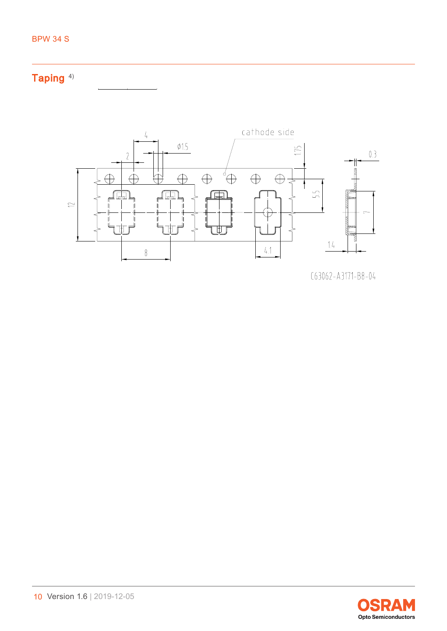

```
C63062 - A3171 - B8 - 04
```
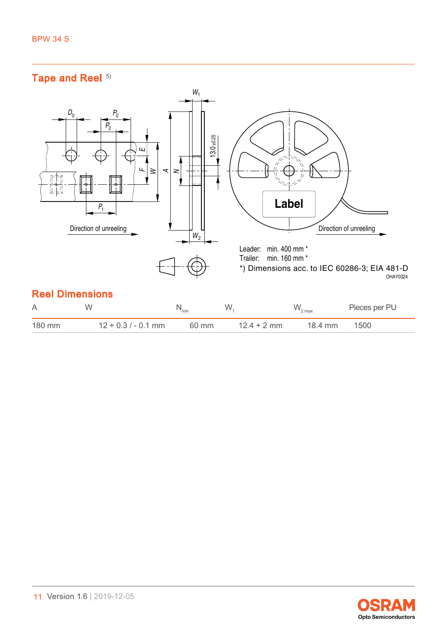## Tape and Reel [5\)](#page-15-0)



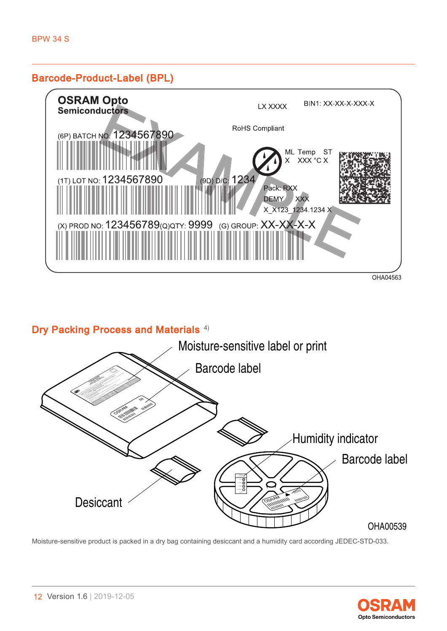#### Barcode-Product-Label (BPL)



## Dry Packing Process and Materials<sup>[4\)](#page-15-0)</sup>



Moisture-sensitive product is packed in a dry bag containing desiccant and a humidity card according JEDEC-STD-033.

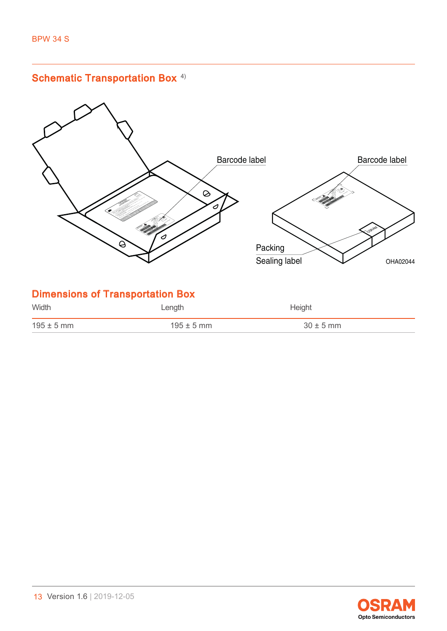

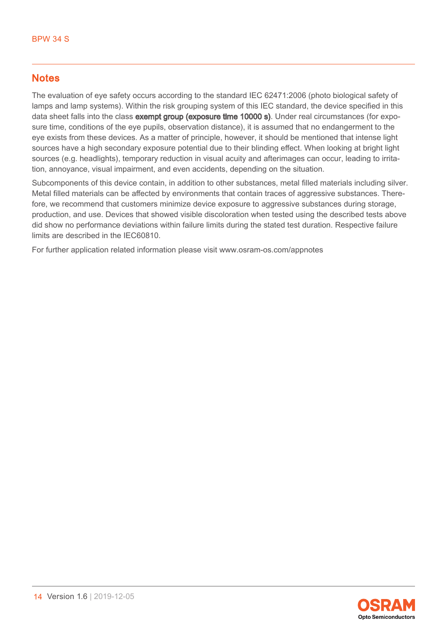## **Notes**

The evaluation of eye safety occurs according to the standard IEC 62471:2006 (photo biological safety of lamps and lamp systems). Within the risk grouping system of this IEC standard, the device specified in this data sheet falls into the class **exempt group (exposure time 10000 s)**. Under real circumstances (for exposure time, conditions of the eye pupils, observation distance), it is assumed that no endangerment to the eye exists from these devices. As a matter of principle, however, it should be mentioned that intense light sources have a high secondary exposure potential due to their blinding effect. When looking at bright light sources (e.g. headlights), temporary reduction in visual acuity and afterimages can occur, leading to irritation, annoyance, visual impairment, and even accidents, depending on the situation.

Subcomponents of this device contain, in addition to other substances, metal filled materials including silver. Metal filled materials can be affected by environments that contain traces of aggressive substances. Therefore, we recommend that customers minimize device exposure to aggressive substances during storage, production, and use. Devices that showed visible discoloration when tested using the described tests above did show no performance deviations within failure limits during the stated test duration. Respective failure limits are described in the IEC60810.

For further application related information please visit www.osram-os.com/appnotes

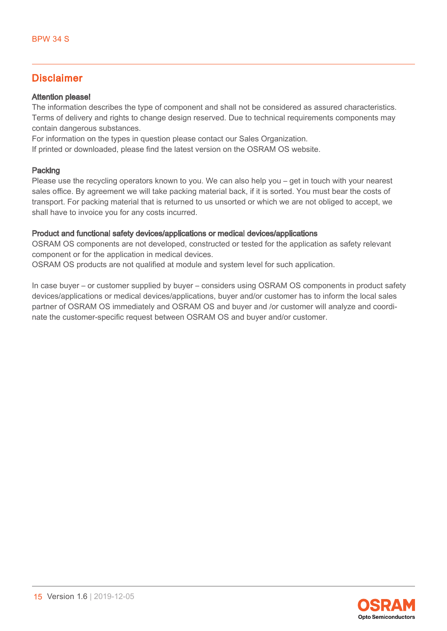## Disclaimer

#### Attention please!

The information describes the type of component and shall not be considered as assured characteristics. Terms of delivery and rights to change design reserved. Due to technical requirements components may contain dangerous substances.

For information on the types in question please contact our Sales Organization.

If printed or downloaded, please find the latest version on the OSRAM OS website.

#### Packing

Please use the recycling operators known to you. We can also help you – get in touch with your nearest sales office. By agreement we will take packing material back, if it is sorted. You must bear the costs of transport. For packing material that is returned to us unsorted or which we are not obliged to accept, we shall have to invoice you for any costs incurred.

#### Product and functional safety devices/applications or medical devices/applications

OSRAM OS components are not developed, constructed or tested for the application as safety relevant component or for the application in medical devices.

OSRAM OS products are not qualified at module and system level for such application.

In case buyer – or customer supplied by buyer – considers using OSRAM OS components in product safety devices/applications or medical devices/applications, buyer and/or customer has to inform the local sales partner of OSRAM OS immediately and OSRAM OS and buyer and /or customer will analyze and coordinate the customer-specific request between OSRAM OS and buyer and/or customer.

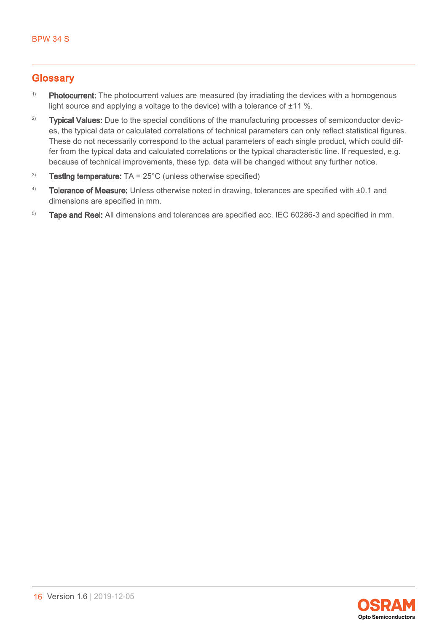## <span id="page-15-0"></span>**Glossary**

- <sup>1)</sup> Photocurrent: The photocurrent values are measured (by irradiating the devices with a homogenous light source and applying a voltage to the device) with a tolerance of ±11 %.
- <sup>2)</sup> Typical Values: Due to the special conditions of the manufacturing processes of semiconductor devices, the typical data or calculated correlations of technical parameters can only reflect statistical figures. These do not necessarily correspond to the actual parameters of each single product, which could differ from the typical data and calculated correlations or the typical characteristic line. If requested, e.g. because of technical improvements, these typ. data will be changed without any further notice.
- <sup>3)</sup> Testing temperature:  $TA = 25^{\circ}C$  (unless otherwise specified)
- 4) Tolerance of Measure: Unless otherwise noted in drawing, tolerances are specified with  $\pm 0.1$  and dimensions are specified in mm.
- <sup>5)</sup> Tape and Reel: All dimensions and tolerances are specified acc. IEC 60286-3 and specified in mm.

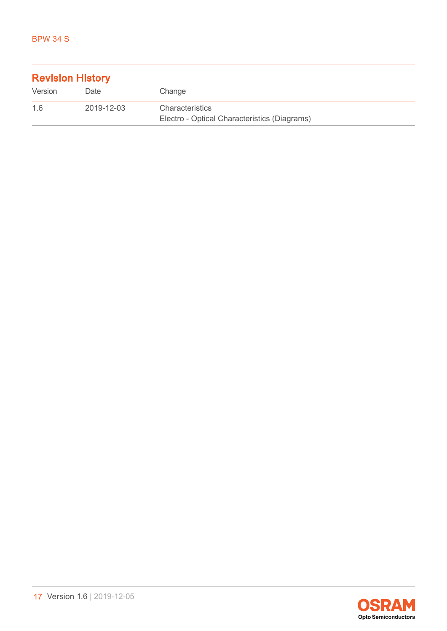| <b>Revision History</b> |            |                                                                        |  |
|-------------------------|------------|------------------------------------------------------------------------|--|
| Version                 | Date       | Change                                                                 |  |
| 1.6                     | 2019-12-03 | <b>Characteristics</b><br>Electro - Optical Characteristics (Diagrams) |  |